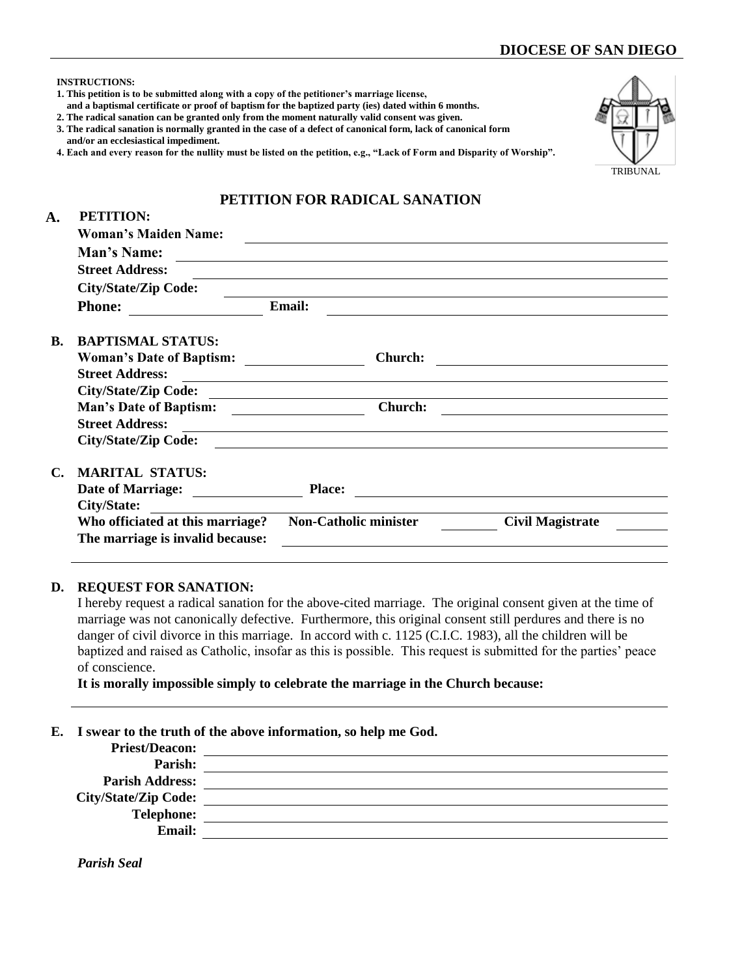|                | <b>INSTRUCTIONS:</b><br>1. This petition is to be submitted along with a copy of the petitioner's marriage license,<br>and a baptismal certificate or proof of baptism for the baptized party (ies) dated within 6 months.<br>2. The radical sanation can be granted only from the moment naturally valid consent was given.<br>3. The radical sanation is normally granted in the case of a defect of canonical form, lack of canonical form<br>and/or an ecclesiastical impediment.<br>4. Each and every reason for the nullity must be listed on the petition, e.g., "Lack of Form and Disparity of Worship". |        |                                                                                                                        |                                                                                                                      | <b>TRIBUNAL</b> |
|----------------|------------------------------------------------------------------------------------------------------------------------------------------------------------------------------------------------------------------------------------------------------------------------------------------------------------------------------------------------------------------------------------------------------------------------------------------------------------------------------------------------------------------------------------------------------------------------------------------------------------------|--------|------------------------------------------------------------------------------------------------------------------------|----------------------------------------------------------------------------------------------------------------------|-----------------|
|                |                                                                                                                                                                                                                                                                                                                                                                                                                                                                                                                                                                                                                  |        | PETITION FOR RADICAL SANATION                                                                                          |                                                                                                                      |                 |
| A.             | <b>PETITION:</b>                                                                                                                                                                                                                                                                                                                                                                                                                                                                                                                                                                                                 |        |                                                                                                                        |                                                                                                                      |                 |
|                | <b>Woman's Maiden Name:</b>                                                                                                                                                                                                                                                                                                                                                                                                                                                                                                                                                                                      |        |                                                                                                                        | <u> 1989 - Johann Barbara, martin amerikan basar dan berasal dalam basa dalam basar dalam basar dalam basar dala</u> |                 |
|                | Man's Name:                                                                                                                                                                                                                                                                                                                                                                                                                                                                                                                                                                                                      |        | <u> Andreas Andreas Andreas Andreas Andreas Andreas Andreas Andreas Andreas Andreas Andreas Andreas Andreas Andr</u>   |                                                                                                                      |                 |
|                | <b>Street Address:</b>                                                                                                                                                                                                                                                                                                                                                                                                                                                                                                                                                                                           |        |                                                                                                                        |                                                                                                                      |                 |
|                | City/State/Zip Code:                                                                                                                                                                                                                                                                                                                                                                                                                                                                                                                                                                                             |        |                                                                                                                        |                                                                                                                      |                 |
|                | <b>Phone:</b>                                                                                                                                                                                                                                                                                                                                                                                                                                                                                                                                                                                                    | Email: |                                                                                                                        |                                                                                                                      |                 |
| $\mathbf{R}$ . | <b>BAPTISMAL STATUS:</b>                                                                                                                                                                                                                                                                                                                                                                                                                                                                                                                                                                                         |        |                                                                                                                        |                                                                                                                      |                 |
|                |                                                                                                                                                                                                                                                                                                                                                                                                                                                                                                                                                                                                                  |        |                                                                                                                        |                                                                                                                      |                 |
|                | <b>Street Address:</b>                                                                                                                                                                                                                                                                                                                                                                                                                                                                                                                                                                                           |        | <u> 1989 - Johann Stoff, deutscher Stoffen und der Stoffen und der Stoffen und der Stoffen und der Stoffen und der</u> |                                                                                                                      |                 |
|                | City/State/Zip Code:                                                                                                                                                                                                                                                                                                                                                                                                                                                                                                                                                                                             |        |                                                                                                                        |                                                                                                                      |                 |
|                | Man's Date of Baptism: Church:                                                                                                                                                                                                                                                                                                                                                                                                                                                                                                                                                                                   |        |                                                                                                                        | <u> 1989 - Johann Stein, mars an deutscher Stein und der Stein und der Stein und der Stein und der Stein und der</u> |                 |
|                | <b>Street Address:</b>                                                                                                                                                                                                                                                                                                                                                                                                                                                                                                                                                                                           |        |                                                                                                                        |                                                                                                                      |                 |
|                | <b>City/State/Zip Code:</b>                                                                                                                                                                                                                                                                                                                                                                                                                                                                                                                                                                                      |        |                                                                                                                        | <u> 1989 - Andrea Stadt Britain, amerikansk politik (d. 1989)</u>                                                    |                 |
| $\mathbf{C}$ . | <b>MARITAL STATUS:</b>                                                                                                                                                                                                                                                                                                                                                                                                                                                                                                                                                                                           |        |                                                                                                                        |                                                                                                                      |                 |
|                |                                                                                                                                                                                                                                                                                                                                                                                                                                                                                                                                                                                                                  |        |                                                                                                                        |                                                                                                                      |                 |
|                | City/State:                                                                                                                                                                                                                                                                                                                                                                                                                                                                                                                                                                                                      |        |                                                                                                                        |                                                                                                                      |                 |
|                | Who officiated at this marriage?                                                                                                                                                                                                                                                                                                                                                                                                                                                                                                                                                                                 |        | Non-Catholic minister                                                                                                  | <b>Civil Magistrate</b>                                                                                              |                 |
|                | The marriage is invalid because:                                                                                                                                                                                                                                                                                                                                                                                                                                                                                                                                                                                 |        |                                                                                                                        |                                                                                                                      |                 |
|                |                                                                                                                                                                                                                                                                                                                                                                                                                                                                                                                                                                                                                  |        |                                                                                                                        |                                                                                                                      |                 |

## **D. REQUEST FOR SANATION:**

I hereby request a radical sanation for the above-cited marriage. The original consent given at the time of marriage was not canonically defective. Furthermore, this original consent still perdures and there is no danger of civil divorce in this marriage. In accord with c. 1125 (C.I.C. 1983), all the children will be baptized and raised as Catholic, insofar as this is possible. This request is submitted for the parties' peace of conscience.

**It is morally impossible simply to celebrate the marriage in the Church because:**

## **E. I swear to the truth of the above information, so help me God.**

| <b>Priest/Deacon:</b>       |  |
|-----------------------------|--|
| Parish:                     |  |
| <b>Parish Address:</b>      |  |
| <b>City/State/Zip Code:</b> |  |
| <b>Telephone:</b>           |  |
| <b>Email:</b>               |  |
|                             |  |

*Parish Seal*